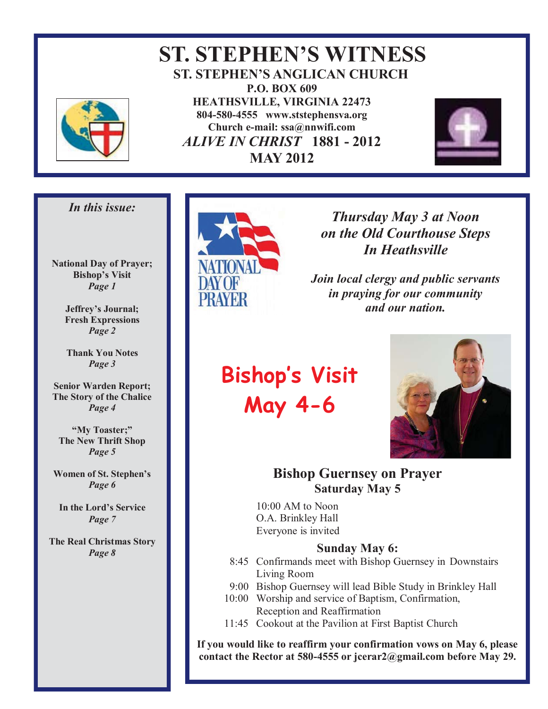

 **ST. STEPHEN'S WITNESS ST. STEPHEN'S ANGLICAN CHURCH P.O. BOX 609 HEATHSVILLE, VIRGINIA 22473 804-580-4555 www.ststephensva.org Church e-mail: ssa@nnwifi.com**   *ALIVE IN CHRIST* **1881 - 2012 MAY 2012**



#### *In this issue:*

**National Day of Prayer; Bishop's Visit** *Page 1* 

> **Jeffrey's Journal; Fresh Expressions**  *Page 2*

**Thank You Notes**  *Page 3* 

**Senior Warden Report; The Story of the Chalice** *Page 4* 

**"My Toaster;" The New Thrift Shop**  *Page 5* 

**Women of St. Stephen's** *Page 6* 

**In the Lord's Service** *Page 7* 

**The Real Christmas Story**  *Page 8* 



### *Thursday May 3 at Noon on the Old Courthouse Steps In Heathsville*

*Join local clergy and public servants in praying for our community and our nation.* 

# **Bishop's Visit May 4-6**



#### **Bishop Guernsey on Prayer Saturday May 5**

10:00 AM to Noon O.A. Brinkley Hall Everyone is invited

#### **Sunday May 6:**

- 8:45 Confirmands meet with Bishop Guernsey in Downstairs Living Room
- 9:00 Bishop Guernsey will lead Bible Study in Brinkley Hall
- 10:00 Worship and service of Baptism, Confirmation, Reception and Reaffirmation
- 11:45 Cookout at the Pavilion at First Baptist Church

**If you would like to reaffirm your confirmation vows on May 6, please contact the Rector at 580-4555 or jcerar2@gmail.com before May 29.**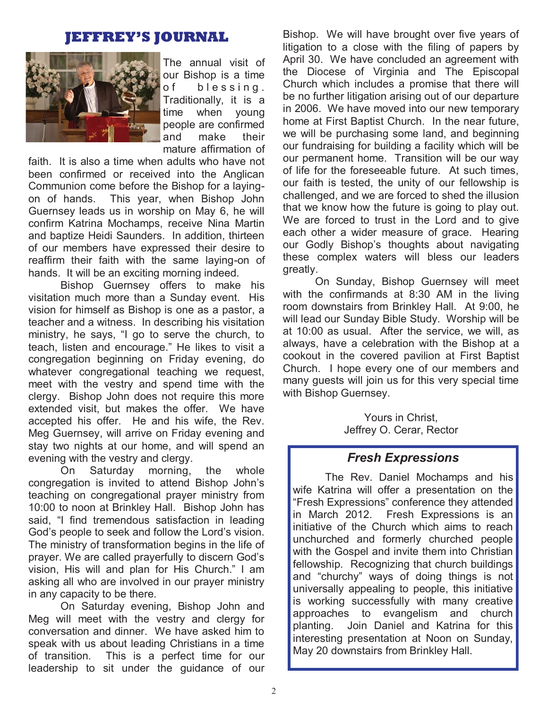### **JEFFREY'S JOURNAL**



The annual visit of our Bishop is a time of blessing. Traditionally, it is a time when young people are confirmed and make their mature affirmation of

faith. It is also a time when adults who have not been confirmed or received into the Anglican Communion come before the Bishop for a layingon of hands. This year, when Bishop John Guernsey leads us in worship on May 6, he will confirm Katrina Mochamps, receive Nina Martin and baptize Heidi Saunders. In addition, thirteen of our members have expressed their desire to reaffirm their faith with the same laying-on of hands. It will be an exciting morning indeed.

 Bishop Guernsey offers to make his visitation much more than a Sunday event. His vision for himself as Bishop is one as a pastor, a teacher and a witness. In describing his visitation ministry, he says, "I go to serve the church, to teach, listen and encourage." He likes to visit a congregation beginning on Friday evening, do whatever congregational teaching we request, meet with the vestry and spend time with the clergy. Bishop John does not require this more extended visit, but makes the offer. We have accepted his offer. He and his wife, the Rev. Meg Guernsey, will arrive on Friday evening and stay two nights at our home, and will spend an evening with the vestry and clergy.

 On Saturday morning, the whole congregation is invited to attend Bishop John's teaching on congregational prayer ministry from 10:00 to noon at Brinkley Hall. Bishop John has said, "I find tremendous satisfaction in leading God's people to seek and follow the Lord's vision. The ministry of transformation begins in the life of prayer. We are called prayerfully to discern God's vision, His will and plan for His Church." I am asking all who are involved in our prayer ministry in any capacity to be there.

 On Saturday evening, Bishop John and Meg will meet with the vestry and clergy for conversation and dinner. We have asked him to speak with us about leading Christians in a time of transition. This is a perfect time for our leadership to sit under the guidance of our

Bishop. We will have brought over five years of litigation to a close with the filing of papers by April 30. We have concluded an agreement with the Diocese of Virginia and The Episcopal Church which includes a promise that there will be no further litigation arising out of our departure in 2006. We have moved into our new temporary home at First Baptist Church. In the near future, we will be purchasing some land, and beginning our fundraising for building a facility which will be our permanent home. Transition will be our way of life for the foreseeable future. At such times, our faith is tested, the unity of our fellowship is challenged, and we are forced to shed the illusion that we know how the future is going to play out. We are forced to trust in the Lord and to give each other a wider measure of grace. Hearing our Godly Bishop's thoughts about navigating these complex waters will bless our leaders greatly.

 On Sunday, Bishop Guernsey will meet with the confirmands at 8:30 AM in the living room downstairs from Brinkley Hall. At 9:00, he will lead our Sunday Bible Study. Worship will be at 10:00 as usual. After the service, we will, as always, have a celebration with the Bishop at a cookout in the covered pavilion at First Baptist Church. I hope every one of our members and many guests will join us for this very special time with Bishop Guernsey.

> Yours in Christ, Jeffrey O. Cerar, Rector

#### *Fresh Expressions*

 The Rev. Daniel Mochamps and his wife Katrina will offer a presentation on the "Fresh Expressions" conference they attended in March 2012. Fresh Expressions is an initiative of the Church which aims to reach unchurched and formerly churched people with the Gospel and invite them into Christian fellowship. Recognizing that church buildings and "churchy" ways of doing things is not universally appealing to people, this initiative is working successfully with many creative approaches to evangelism and church planting. Join Daniel and Katrina for this interesting presentation at Noon on Sunday, May 20 downstairs from Brinkley Hall.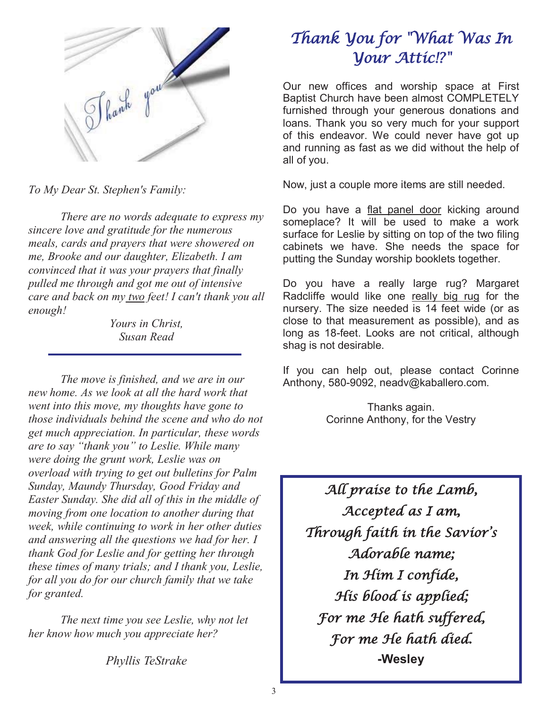

*To My Dear St. Stephen's Family:* 

 *There are no words adequate to express my sincere love and gratitude for the numerous meals, cards and prayers that were showered on me, Brooke and our daughter, Elizabeth. I am convinced that it was your prayers that finally pulled me through and got me out of intensive care and back on my two feet! I can't thank you all enough!* 

> *Yours in Christ, Susan Read*

 *The move is finished, and we are in our new home. As we look at all the hard work that went into this move, my thoughts have gone to those individuals behind the scene and who do not get much appreciation. In particular, these words are to say "thank you" to Leslie. While many were doing the grunt work, Leslie was on overload with trying to get out bulletins for Palm Sunday, Maundy Thursday, Good Friday and Easter Sunday. She did all of this in the middle of moving from one location to another during that week, while continuing to work in her other duties and answering all the questions we had for her. I thank God for Leslie and for getting her through these times of many trials; and I thank you, Leslie, for all you do for our church family that we take for granted.* 

 *The next time you see Leslie, why not let her know how much you appreciate her?* 

*Phyllis TeStrake* 

# Thank You for "What Was In Your Attic!?"

Our new offices and worship space at First Baptist Church have been almost COMPLETELY furnished through your generous donations and loans. Thank you so very much for your support of this endeavor. We could never have got up and running as fast as we did without the help of all of you.

Now, just a couple more items are still needed.

Do you have a flat panel door kicking around someplace? It will be used to make a work surface for Leslie by sitting on top of the two filing cabinets we have. She needs the space for putting the Sunday worship booklets together.

Do you have a really large rug? Margaret Radcliffe would like one really big rug for the nursery. The size needed is 14 feet wide (or as close to that measurement as possible), and as long as 18-feet. Looks are not critical, although shag is not desirable.

If you can help out, please contact Corinne Anthony, 580-9092, neadv@kaballero.com.

> Thanks again. Corinne Anthony, for the Vestry

All praise to the Lamb, Accepted as I am, Through faith in the Savior's Adorable name; In Him I confide, His blood is applied; For me He hath suffered, For me He hath died. **-Wesley**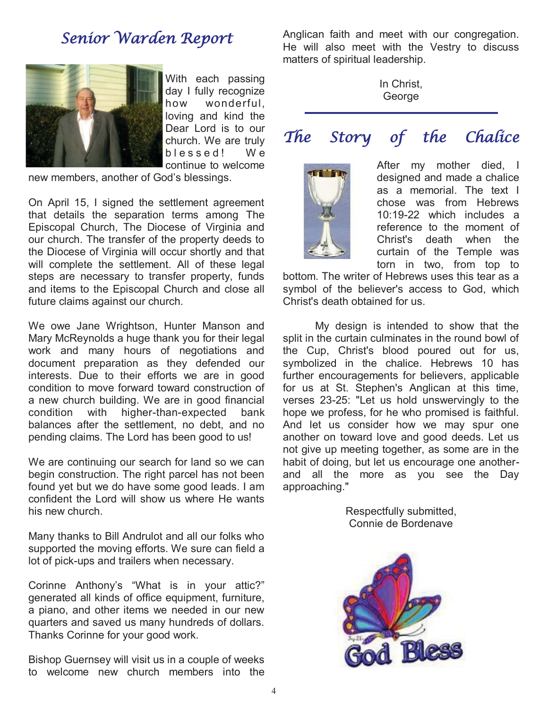### Senior Warden Report



With each passing day I fully recognize how wonderful, loving and kind the Dear Lord is to our church. We are truly b l e s s e d ! W e continue to welcome

new members, another of God's blessings.

On April 15, I signed the settlement agreement that details the separation terms among The Episcopal Church, The Diocese of Virginia and our church. The transfer of the property deeds to the Diocese of Virginia will occur shortly and that will complete the settlement. All of these legal steps are necessary to transfer property, funds and items to the Episcopal Church and close all future claims against our church.

We owe Jane Wrightson, Hunter Manson and Mary McReynolds a huge thank you for their legal work and many hours of negotiations and document preparation as they defended our interests. Due to their efforts we are in good condition to move forward toward construction of a new church building. We are in good financial condition with higher-than-expected bank balances after the settlement, no debt, and no pending claims. The Lord has been good to us!

We are continuing our search for land so we can begin construction. The right parcel has not been found yet but we do have some good leads. I am confident the Lord will show us where He wants his new church.

Many thanks to Bill Andrulot and all our folks who supported the moving efforts. We sure can field a lot of pick-ups and trailers when necessary.

Corinne Anthony's "What is in your attic?" generated all kinds of office equipment, furniture, a piano, and other items we needed in our new quarters and saved us many hundreds of dollars. Thanks Corinne for your good work.

Bishop Guernsey will visit us in a couple of weeks to welcome new church members into the

Anglican faith and meet with our congregation. He will also meet with the Vestry to discuss matters of spiritual leadership.

> In Christ, George

# The Story of the Chalice



After my mother died, I designed and made a chalice as a memorial. The text I chose was from Hebrews 10:19-22 which includes a reference to the moment of Christ's death when the curtain of the Temple was torn in two, from top to

bottom. The writer of Hebrews uses this tear as a symbol of the believer's access to God, which Christ's death obtained for us.

 My design is intended to show that the split in the curtain culminates in the round bowl of the Cup, Christ's blood poured out for us, symbolized in the chalice. Hebrews 10 has further encouragements for believers, applicable for us at St. Stephen's Anglican at this time, verses 23-25: "Let us hold unswervingly to the hope we profess, for he who promised is faithful. And let us consider how we may spur one another on toward love and good deeds. Let us not give up meeting together, as some are in the habit of doing, but let us encourage one anotherand all the more as you see the Day approaching."

> Respectfully submitted, Connie de Bordenave

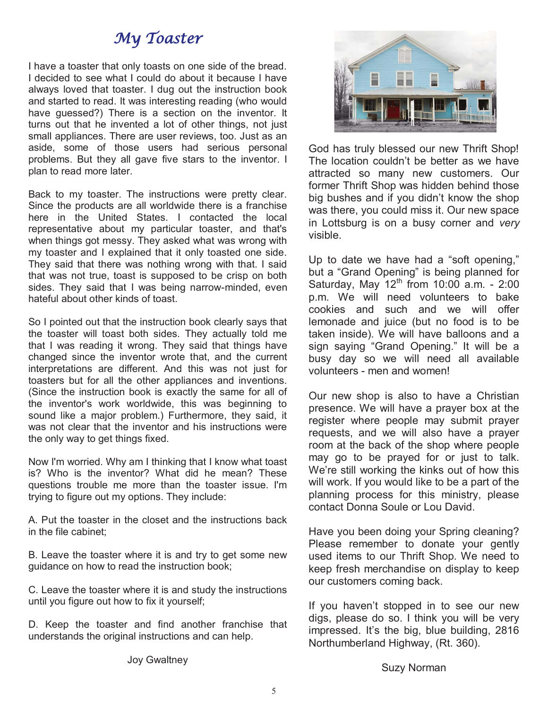## My Toaster

I have a toaster that only toasts on one side of the bread. I decided to see what I could do about it because I have always loved that toaster. I dug out the instruction book and started to read. It was interesting reading (who would have guessed?) There is a section on the inventor. It turns out that he invented a lot of other things, not just small appliances. There are user reviews, too. Just as an aside, some of those users had serious personal problems. But they all gave five stars to the inventor. I plan to read more later.

Back to my toaster. The instructions were pretty clear. Since the products are all worldwide there is a franchise here in the United States. I contacted the local representative about my particular toaster, and that's when things got messy. They asked what was wrong with my toaster and I explained that it only toasted one side. They said that there was nothing wrong with that. I said that was not true, toast is supposed to be crisp on both sides. They said that I was being narrow-minded, even hateful about other kinds of toast.

So I pointed out that the instruction book clearly says that the toaster will toast both sides. They actually told me that I was reading it wrong. They said that things have changed since the inventor wrote that, and the current interpretations are different. And this was not just for toasters but for all the other appliances and inventions. (Since the instruction book is exactly the same for all of the inventor's work worldwide, this was beginning to sound like a major problem.) Furthermore, they said, it was not clear that the inventor and his instructions were the only way to get things fixed.

Now I'm worried. Why am I thinking that I know what toast is? Who is the inventor? What did he mean? These questions trouble me more than the toaster issue. I'm trying to figure out my options. They include:

A. Put the toaster in the closet and the instructions back in the file cabinet;

B. Leave the toaster where it is and try to get some new guidance on how to read the instruction book;

C. Leave the toaster where it is and study the instructions until you figure out how to fix it yourself;

D. Keep the toaster and find another franchise that understands the original instructions and can help.



God has truly blessed our new Thrift Shop! The location couldn't be better as we have attracted so many new customers. Our former Thrift Shop was hidden behind those big bushes and if you didn't know the shop was there, you could miss it. Our new space in Lottsburg is on a busy corner and *very* visible.

Up to date we have had a "soft opening," but a "Grand Opening" is being planned for Saturday, May  $12<sup>th</sup>$  from 10:00 a.m. - 2:00 p.m. We will need volunteers to bake cookies and such and we will offer lemonade and juice (but no food is to be taken inside). We will have balloons and a sign saying "Grand Opening." It will be a busy day so we will need all available volunteers - men and women!

Our new shop is also to have a Christian presence. We will have a prayer box at the register where people may submit prayer requests, and we will also have a prayer room at the back of the shop where people may go to be prayed for or just to talk. We're still working the kinks out of how this will work. If you would like to be a part of the planning process for this ministry, please contact Donna Soule or Lou David.

Have you been doing your Spring cleaning? Please remember to donate your gently used items to our Thrift Shop. We need to keep fresh merchandise on display to keep our customers coming back.

If you haven't stopped in to see our new digs, please do so. I think you will be very impressed. It's the big, blue building, 2816 Northumberland Highway, (Rt. 360).

Suzy Norman

Joy Gwaltney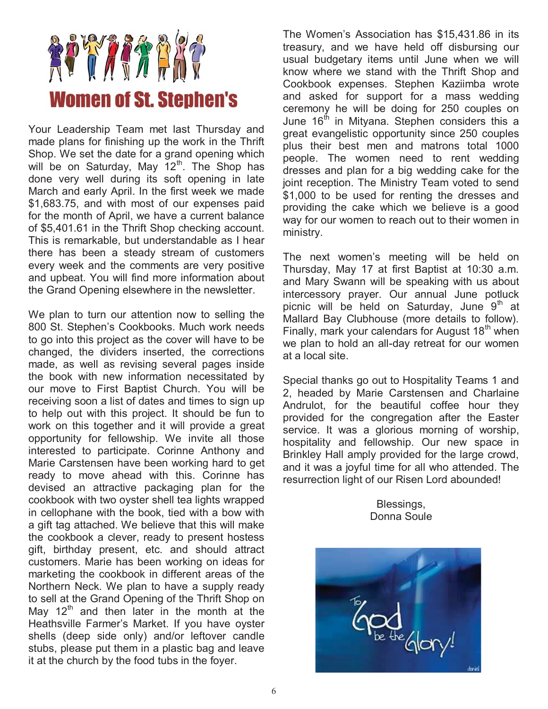

Your Leadership Team met last Thursday and made plans for finishing up the work in the Thrift Shop. We set the date for a grand opening which will be on Saturday, May  $12<sup>th</sup>$ . The Shop has done very well during its soft opening in late March and early April. In the first week we made \$1,683.75, and with most of our expenses paid for the month of April, we have a current balance of \$5,401.61 in the Thrift Shop checking account. This is remarkable, but understandable as I hear there has been a steady stream of customers every week and the comments are very positive and upbeat. You will find more information about the Grand Opening elsewhere in the newsletter.

We plan to turn our attention now to selling the 800 St. Stephen's Cookbooks. Much work needs to go into this project as the cover will have to be changed, the dividers inserted, the corrections made, as well as revising several pages inside the book with new information necessitated by our move to First Baptist Church. You will be receiving soon a list of dates and times to sign up to help out with this project. It should be fun to work on this together and it will provide a great opportunity for fellowship. We invite all those interested to participate. Corinne Anthony and Marie Carstensen have been working hard to get ready to move ahead with this. Corinne has devised an attractive packaging plan for the cookbook with two oyster shell tea lights wrapped in cellophane with the book, tied with a bow with a gift tag attached. We believe that this will make the cookbook a clever, ready to present hostess gift, birthday present, etc. and should attract customers. Marie has been working on ideas for marketing the cookbook in different areas of the Northern Neck. We plan to have a supply ready to sell at the Grand Opening of the Thrift Shop on May 12<sup>th</sup> and then later in the month at the Heathsville Farmer's Market. If you have oyster shells (deep side only) and/or leftover candle stubs, please put them in a plastic bag and leave it at the church by the food tubs in the foyer.

The Women's Association has \$15,431.86 in its treasury, and we have held off disbursing our usual budgetary items until June when we will know where we stand with the Thrift Shop and Cookbook expenses. Stephen Kaziimba wrote and asked for support for a mass wedding ceremony he will be doing for 250 couples on June  $16<sup>th</sup>$  in Mityana. Stephen considers this a great evangelistic opportunity since 250 couples plus their best men and matrons total 1000 people. The women need to rent wedding dresses and plan for a big wedding cake for the joint reception. The Ministry Team voted to send \$1,000 to be used for renting the dresses and providing the cake which we believe is a good way for our women to reach out to their women in ministry.

The next women's meeting will be held on Thursday, May 17 at first Baptist at 10:30 a.m. and Mary Swann will be speaking with us about intercessory prayer. Our annual June potluck picnic will be held on Saturday, June  $9<sup>th</sup>$  at Mallard Bay Clubhouse (more details to follow). Finally, mark your calendars for August  $18<sup>th</sup>$  when we plan to hold an all-day retreat for our women at a local site.

Special thanks go out to Hospitality Teams 1 and 2, headed by Marie Carstensen and Charlaine Andrulot, for the beautiful coffee hour they provided for the congregation after the Easter service. It was a glorious morning of worship, hospitality and fellowship. Our new space in Brinkley Hall amply provided for the large crowd, and it was a joyful time for all who attended. The resurrection light of our Risen Lord abounded!

> Blessings, Donna Soule

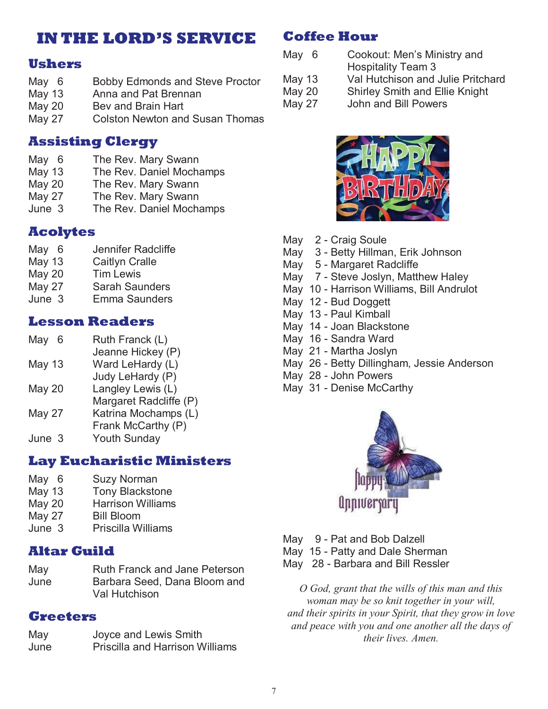## **IN THE LORD'S SERVICE**

### **Ushers**

- May 6 Bobby Edmonds and Steve Proctor
- May 13 Anna and Pat Brennan
- May 20 Bey and Brain Hart
- May 27 Colston Newton and Susan Thomas

### **Assisting Clergy**

- May 6 The Rev. Mary Swann
- May 13 The Rev. Daniel Mochamps
- May 20 The Rev. Mary Swann
- May 27 The Rev. Mary Swann
- June 3 The Rev. Daniel Mochamps

### **Acolytes**

- May 6 Jennifer Radcliffe
- May 13 Caitlyn Cralle
- May 20 Tim Lewis
- May 27 Sarah Saunders
- June 3 Emma Saunders

#### **Lesson Readers**

- May 6 Ruth Franck (L)
- Jeanne Hickey (P) May 13 Ward LeHardy (L)
- Judy LeHardy (P)
- May 20 Langley Lewis (L)
- Margaret Radcliffe (P)
- May 27 Katrina Mochamps (L)
- Frank McCarthy (P)
- June 3 Youth Sunday

#### **Lay Eucharistic Ministers**

- May 6 Suzy Norman
- May 13 Tony Blackstone
- May 20 Harrison Williams
- May 27 Bill Bloom
- June 3 Priscilla Williams

#### **Altar Guild**

May Ruth Franck and Jane Peterson June Barbara Seed, Dana Bloom and Val Hutchison

### **Greeters**

May Joyce and Lewis Smith June Priscilla and Harrison Williams

### **Coffee Hour**

- May 6 Cookout: Men's Ministry and
	- Hospitality Team 3
- May 13 Val Hutchison and Julie Pritchard
- May 20 Shirley Smith and Ellie Knight
- May 27 John and Bill Powers



- May 2 Craig Soule
- May 3 Betty Hillman, Erik Johnson
- May 5 Margaret Radcliffe
- May 7 Steve Joslyn, Matthew Haley
- May 10 Harrison Williams, Bill Andrulot
- May 12 Bud Doggett
- May 13 Paul Kimball
- May 14 Joan Blackstone
- May 16 Sandra Ward
- May 21 Martha Joslyn
- May 26 Betty Dillingham, Jessie Anderson
- May 28 John Powers
- May 31 Denise McCarthy



- May 9 Pat and Bob Dalzell
- May 15 Patty and Dale Sherman
- May 28 Barbara and Bill Ressler

*O God, grant that the wills of this man and this woman may be so knit together in your will, and their spirits in your Spirit, that they grow in love and peace with you and one another all the days of their lives. Amen.*